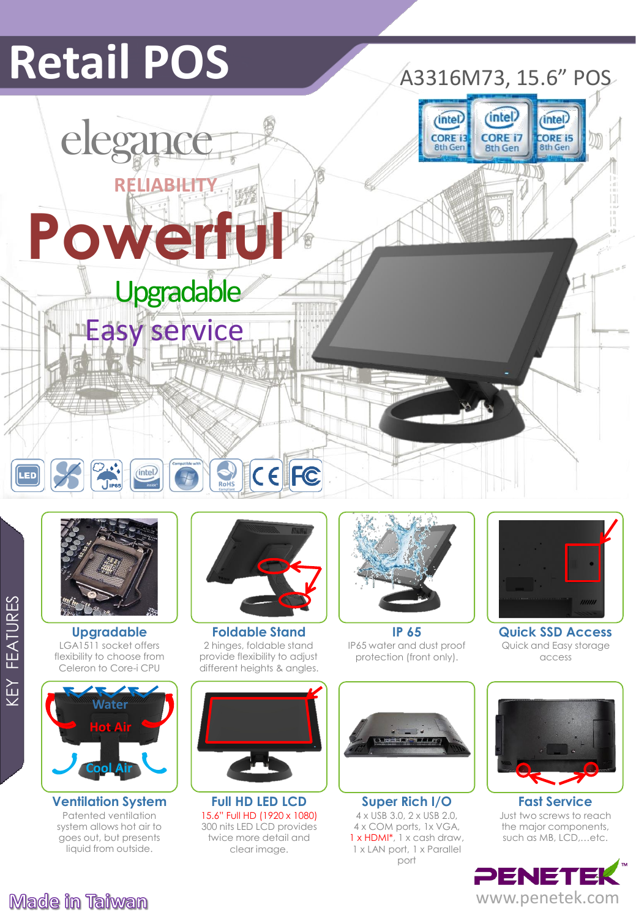# **Retail POS** A3316M73, 15.6" POS

*intel* 

**CORE 15** 

**8th Gen** 





**Tips** 

(intel)

LGA1511 socket offers flexibility to choose from Celeron to Core-i CPU **Upgradable**



Patented ventilation system allows hot air to goes out, but presents liquid from outside.



 $C \in \left[ \text{FC} \right]$ 

2 hinges, foldable stand provide flexibility to adjust different heights & angles. **Foldable Stand**

**Full HD LED LCD** 15.6" Full HD (1920 x 1080) 300 nits LED LCD provides twice more detail and clear image.



IP65 water and dust proof protection (front only). **IP 65**



**Ventilation System Full HD LED LCD Super Rich I/O Fast Service** 4 x USB 3.0, 2 x USB 2.0, 4 x COM ports, 1x VGA, 1 x HDMI<sup>\*</sup>, 1 x cash draw, 1 x LAN port, 1 x Parallel port **Super Rich I/O**



**All-in-one POS Terminal**

Quick and Easy storage access **Quick SSD Access**



Just two screws to reach the major components, such as MB, LCD,…etc.





KEY FEATURES

**FEATURES** 

KEY

LED